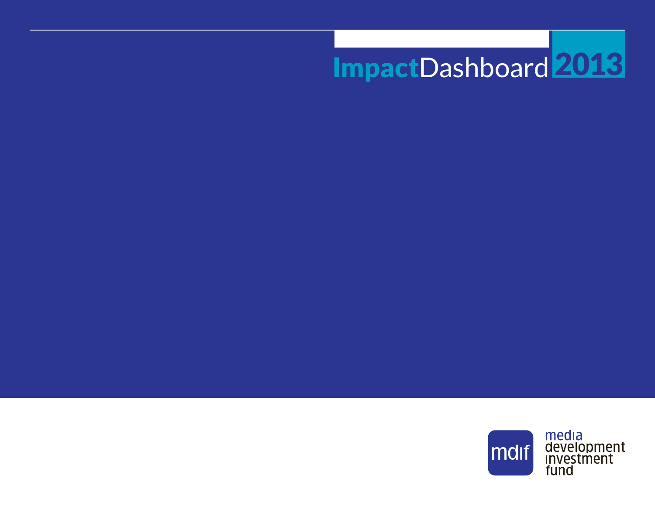# ImpactDashboard 2013

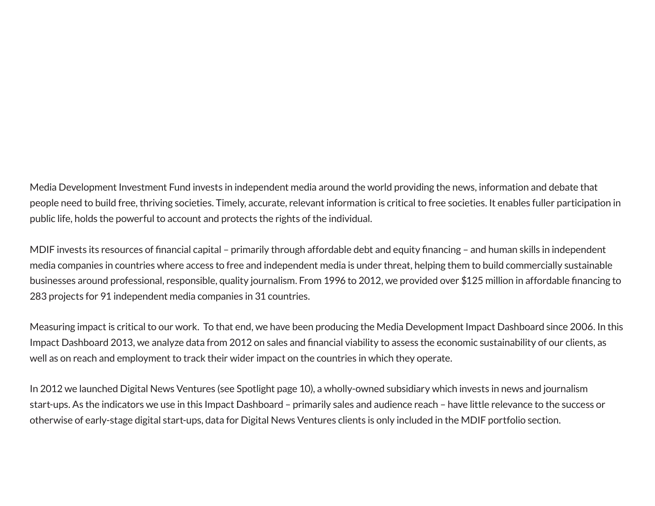Media Development Investment Fund invests in independent media around the world providing the news, information and debate that people need to build free, thriving societies. Timely, accurate, relevant information is critical to free societies. It enables fuller participation in public life, holds the powerful to account and protects the rights of the individual.

MDIF invests its resources of financial capital – primarily through affordable debt and equity financing – and human skills in independent media companies in countries where access to free and independent media is under threat, helping them to build commercially sustainable businesses around professional, responsible, quality journalism. From 1996 to 2012, we provided over \$125 million in affordable financing to 283 projects for 91 independent media companies in 31 countries.

Measuring impact is critical to our work. To that end, we have been producing the Media Development Impact Dashboard since 2006. In this Impact Dashboard 2013, we analyze data from 2012 on sales and financial viability to assess the economic sustainability of our clients, as well as on reach and employment to track their wider impact on the countries in which they operate.

In 2012 we launched Digital News Ventures (see Spotlight page 10), a wholly-owned subsidiary which invests in news and journalism start-ups. As the indicators we use in this Impact Dashboard – primarily sales and audience reach – have little relevance to the success or otherwise of early-stage digital start-ups, data for Digital News Ventures clients is only included in the MDIF portfolio section.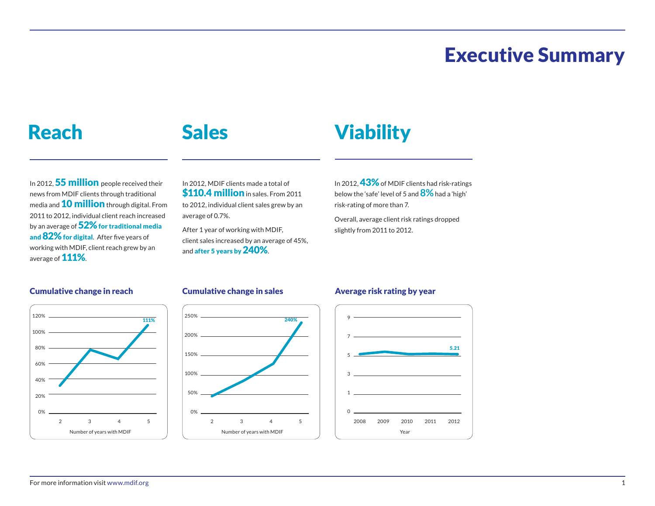### Executive Summary

#### Reach

### Sales

## **Viability**

In 2012, 55 million people received their news from MDIF clients through traditional media and **10 million** through digital. From 2011 to 2012, individual client reach increased by an average of  $52\%$  for traditional media and 82% for digital. After five years of working with MDIF, client reach grew by an average of 111%.

In 2012, MDIF clients made a total of \$110.4 million in sales. From 2011 to 2012, individual client sales grew by an average of 0.7%.

After 1 year of working with MDIF, client sales increased by an average of 45%, and after 5 years by 240%.

In 2012, **43%** of MDIF clients had risk-ratings below the 'safe' level of 5 and **8%** had a 'high' risk-rating of more than 7.

Overall, average client risk ratings dropped slightly from 2011 to 2012.

#### Cumulative change in reach Cumulative change in sales Average risk rating by year





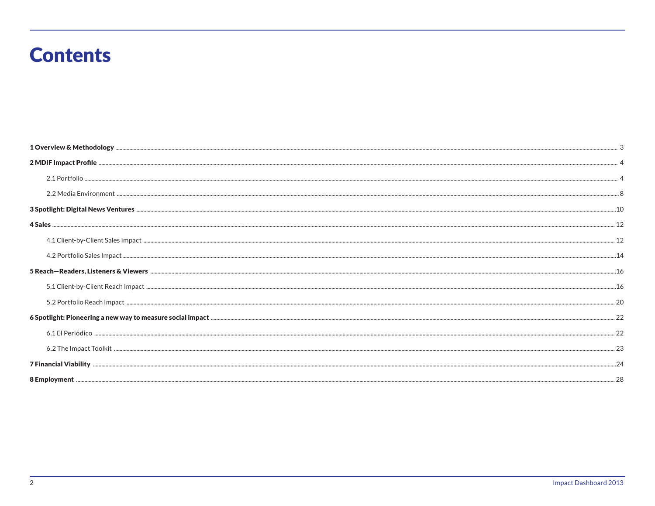### **Contents**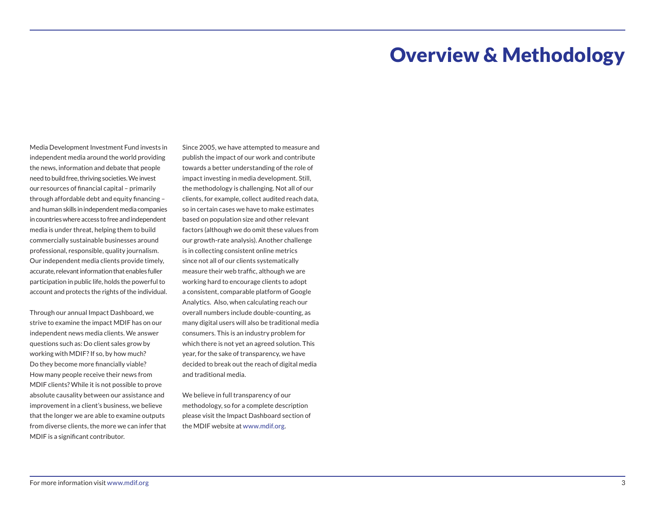#### Overview & Methodology

Media Development Investment Fund invests in independent media around the world providing the news, information and debate that people need to build free, thriving societies. We invest our resources of financial capital – primarily through affordable debt and equity financing – and human skills in independent media companies in countries where access to free and independent media is under threat, helping them to build commercially sustainable businesses around professional, responsible, quality journalism. Our independent media clients provide timely, accurate, relevant information that enables fuller participation in public life, holds the powerful to account and protects the rights of the individual.

Through our annual Impact Dashboard, we strive to examine the impact MDIF has on our independent news media clients. We answer questions such as: Do client sales grow by working with MDIF? If so, by how much? Do they become more financially viable? How many people receive their news from MDIF clients? While it is not possible to prove absolute causality between our assistance and improvement in a client's business, we believe that the longer we are able to examine outputs from diverse clients, the more we can infer that MDIF is a significant contributor.

Since 2005, we have attempted to measure and publish the impact of our work and contribute towards a better understanding of the role of impact investing in media development. Still, the methodology is challenging. Not all of our clients, for example, collect audited reach data, so in certain cases we have to make estimates based on population size and other relevant factors (although we do omit these values from our growth-rate analysis). Another challenge is in collecting consistent online metrics since not all of our clients systematically measure their web traffic, although we are working hard to encourage clients to adopt a consistent, comparable platform of Google Analytics. Also, when calculating reach our overall numbers include double-counting, as many digital users will also be traditional media consumers. This is an industry problem for which there is not yet an agreed solution. This year, for the sake of transparency, we have decided to break out the reach of digital media and traditional media.

We believe in full transparency of our methodology, so for a complete description please visit the Impact Dashboard section of the MDIF website at www.mdif.org.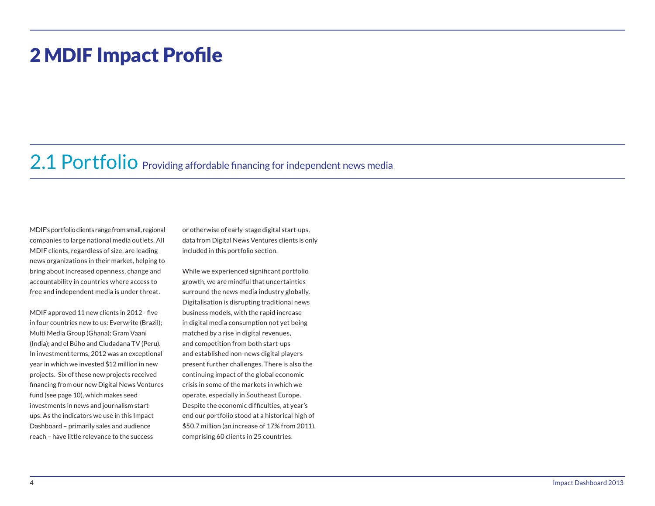#### 2 MDIF Impact Profile

### 2.1 Portfolio Providing affordable financing for independent news media

MDIF's portfolio clients range from small, regional companies to large national media outlets. All MDIF clients, regardless of size, are leading news organizations in their market, helping to bring about increased openness, change and accountability in countries where access to free and independent media is under threat.

MDIF approved 11 new clients in 2012 - five in four countries new to us: Everwrite (Brazil); Multi Media Group (Ghana); Gram Vaani (India); and el Búho and Ciudadana TV (Peru). In investment terms, 2012 was an exceptional year in which we invested \$12 million in new projects. Six of these new projects received financing from our new Digital News Ventures fund (see page 10), which makes seed investments in news and journalism startups. As the indicators we use in this Impact Dashboard – primarily sales and audience reach – have little relevance to the success

or otherwise of early-stage digital start-ups, data from Digital News Ventures clients is only included in this portfolio section.

While we experienced significant portfolio growth, we are mindful that uncertainties surround the news media industry globally. Digitalisation is disrupting traditional news business models, with the rapid increase in digital media consumption not yet being matched by a rise in digital revenues, and competition from both start-ups and established non-news digital players present further challenges. There is also the continuing impact of the global economic crisis in some of the markets in which we operate, especially in Southeast Europe. Despite the economic difficulties, at year's end our portfolio stood at a historical high of \$50.7 million (an increase of 17% from 2011), comprising 60 clients in 25 countries.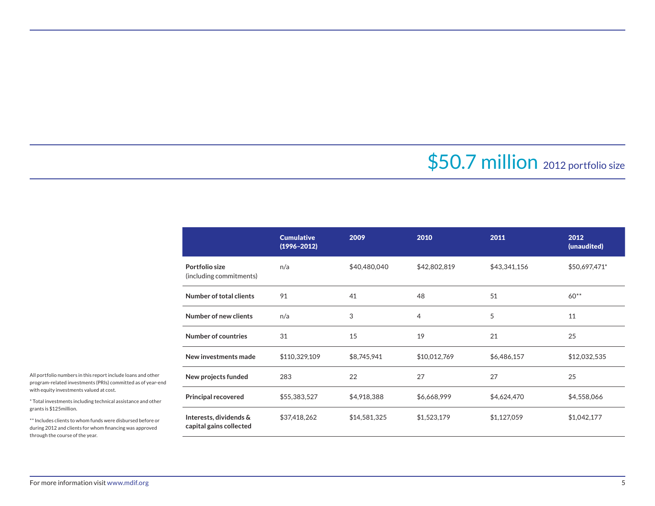### \$50.7 million 2012 portfolio size

|                                                   | <b>Cumulative</b><br>$(1996 - 2012)$ | 2009         | 2010         | 2011         | 2012<br>(unaudited) |
|---------------------------------------------------|--------------------------------------|--------------|--------------|--------------|---------------------|
| Portfolio size<br>(including commitments)         | n/a                                  | \$40,480,040 | \$42,802,819 | \$43,341,156 | \$50,697,471*       |
| Number of total clients                           | 91                                   | 41           | 48           | 51           | $60**$              |
| Number of new clients                             | n/a                                  | 3            | 4            | 5            | 11                  |
| Number of countries                               | 31                                   | 15           | 19           | 21           | 25                  |
| New investments made                              | \$110,329,109                        | \$8,745,941  | \$10,012,769 | \$6,486,157  | \$12,032,535        |
| New projects funded                               | 283                                  | 22           | 27           | 27           | 25                  |
| <b>Principal recovered</b>                        | \$55,383,527                         | \$4,918,388  | \$6,668,999  | \$4,624,470  | \$4,558,066         |
| Interests, dividends &<br>capital gains collected | \$37,418,262                         | \$14,581,325 | \$1,523,179  | \$1,127,059  | \$1,042,177         |

All portfolio numbers in this report include loans and other program-related investments (PRIs) committed as of year-end with equity investments valued at cost.

\* Total investments including technical assistance and other grants is \$125million.

\*\* Includes clients to whom funds were disbursed before or during 2012 and clients for whom financing was approved through the course of the year.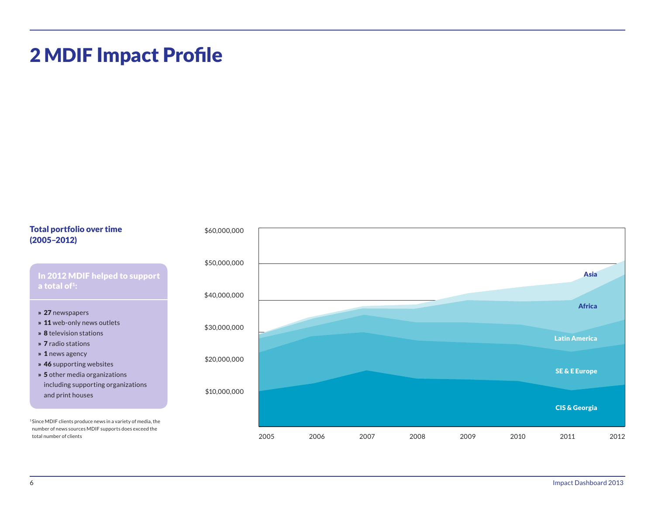### 2 MDIF Impact Profile

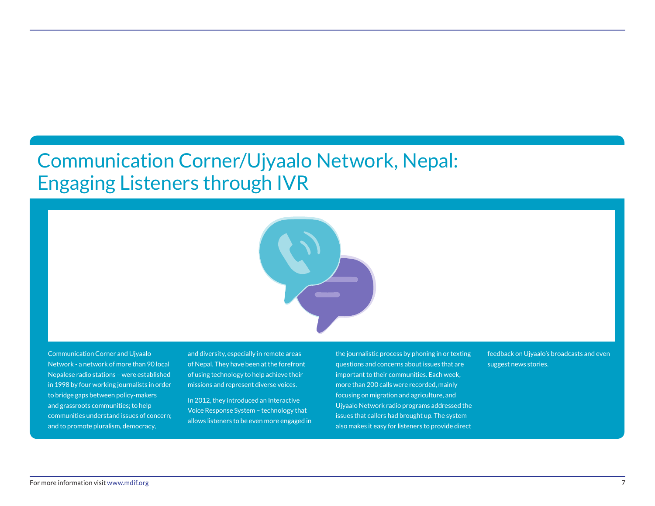### Communication Corner/Ujyaalo Network, Nepal: Engaging Listeners through IVR



Communication Corner and Ujyaalo Network - a network of more than 90 local Nepalese radio stations – were established in 1998 by four working journalists in order to bridge gaps between policy-makers and grassroots communities; to help communities understand issues of concern; and to promote pluralism, democracy,

and diversity, especially in remote areas of Nepal. They have been at the forefront of using technology to help achieve their missions and represent diverse voices.

In 2012, they introduced an Interactive Voice Response System – technology that allows listeners to be even more engaged in the journalistic process by phoning in or texting questions and concerns about issues that are important to their communities. Each week, more than 200 calls were recorded, mainly focusing on migration and agriculture, and Ujyaalo Network radio programs addressed the issues that callers had brought up. The system also makes it easy for listeners to provide direct

feedback on Ujyaalo's broadcasts and even suggest news stories.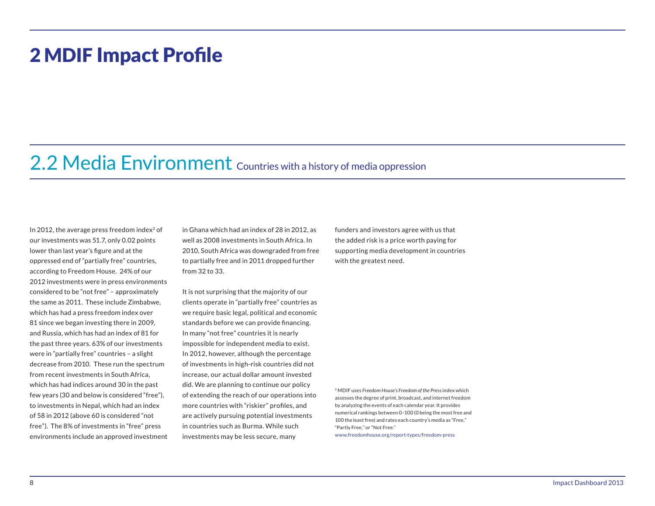#### 2 MDIF Impact Profile

### 2.2 Media Environment Countries with a history of media oppression

In 2012, the average press freedom index $2$  of our investments was 51.7, only 0.02 points lower than last year's figure and at the oppressed end of "partially free" countries, according to Freedom House. 24% of our 2012 investments were in press environments considered to be "not free" – approximately the same as 2011. These include Zimbabwe, which has had a press freedom index over 81 since we began investing there in 2009, and Russia, which has had an index of 81 for the past three years. 63% of our investments were in "partially free" countries – a slight decrease from 2010. These run the spectrum from recent investments in South Africa, which has had indices around 30 in the past few years (30 and below is considered "free"), to investments in Nepal, which had an index of 58 in 2012 (above 60 is considered "not free"). The 8% of investments in "free" press environments include an approved investment in Ghana which had an index of 28 in 2012, as well as 2008 investments in South Africa. In 2010, South Africa was downgraded from free to partially free and in 2011 dropped further from 32 to 33.

It is not surprising that the majority of our clients operate in "partially free" countries as we require basic legal, political and economic standards before we can provide financing. In many "not free" countries it is nearly impossible for independent media to exist. In 2012, however, although the percentage of investments in high-risk countries did not increase, our actual dollar amount invested did. We are planning to continue our policy of extending the reach of our operations into more countries with "riskier" profiles, and are actively pursuing potential investments in countries such as Burma. While such investments may be less secure, many

funders and investors agree with us that the added risk is a price worth paying for supporting media development in countries with the greatest need.

<sup>2</sup> MDIF uses *Freedom House's Freedom of the Press* index which assesses the degree of print, broadcast, and internet freedom by analyzing the events of each calendar year. It provides numerical rankings between 0–100 (0 being the most free and 100 the least free) and rates each country's media as "Free," "Partly Free," or "Not Free."

www.freedomhouse.org/report-types/freedom-press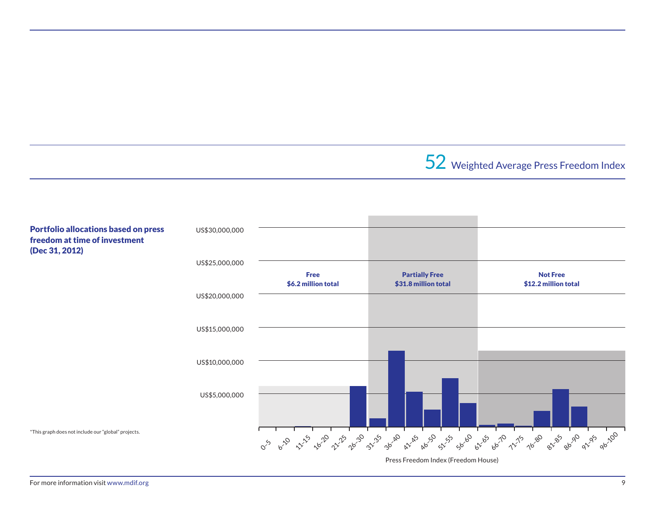52 Weighted Average Press Freedom Index



For more information visit www.mdif.org 9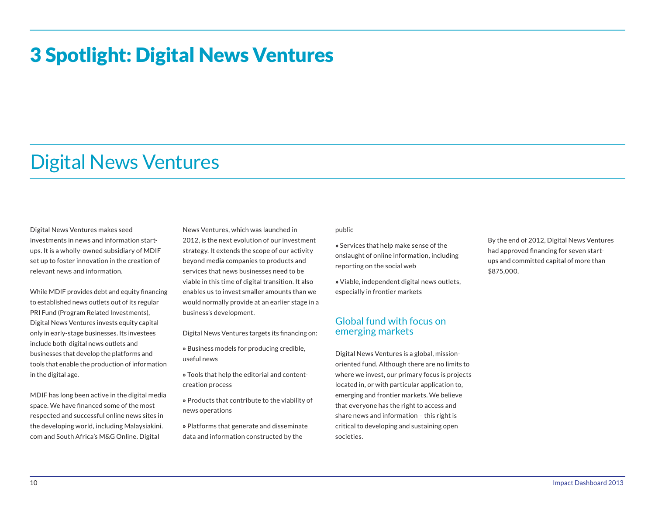### 3 Spotlight: Digital News Ventures

#### Digital News Ventures

Digital News Ventures makes seed investments in news and information startups. It is a wholly-owned subsidiary of MDIF set up to foster innovation in the creation of relevant news and information.

While MDIF provides debt and equity financing to established news outlets out of its regular PRI Fund (Program Related Investments), Digital News Ventures invests equity capital only in early-stage businesses. Its investees include both digital news outlets and businesses that develop the platforms and tools that enable the production of information in the digital age.

MDIF has long been active in the digital media space. We have financed some of the most respected and successful online news sites in the developing world, including Malaysiakini. com and South Africa's M&G Online. Digital

News Ventures, which was launched in 2012, is the next evolution of our investment strategy. It extends the scope of our activity beyond media companies to products and services that news businesses need to be viable in this time of digital transition. It also enables us to invest smaller amounts than we would normally provide at an earlier stage in a business's development.

Digital News Ventures targets its financing on:

- » Business models for producing credible, useful news
- » Tools that help the editorial and contentcreation process
- » Products that contribute to the viability of news operations
- » Platforms that generate and disseminate data and information constructed by the

public

- » Services that help make sense of the onslaught of online information, including reporting on the social web
- » Viable, independent digital news outlets, especially in frontier markets

#### Global fund with focus on emerging markets

Digital News Ventures is a global, missionoriented fund. Although there are no limits to where we invest, our primary focus is projects located in, or with particular application to, emerging and frontier markets. We believe that everyone has the right to access and share news and information – this right is critical to developing and sustaining open societies.

By the end of 2012, Digital News Ventures had approved financing for seven startups and committed capital of more than \$875,000.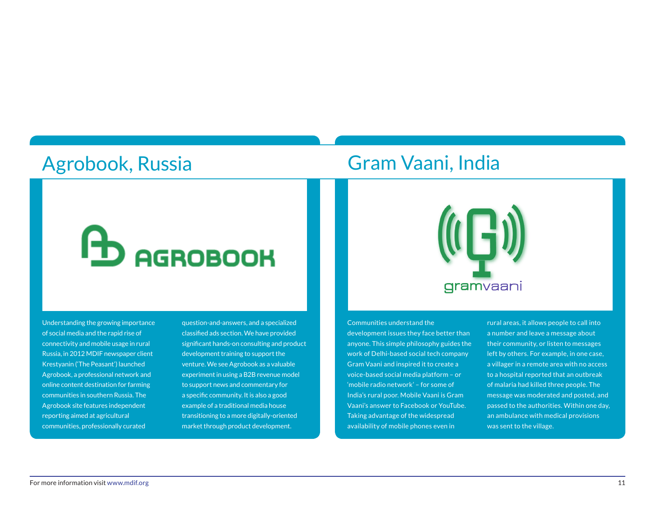#### Agrobook, Russia

#### Gram Vaani, India

gramvaani

# **ED AGROBOOK**

Understanding the growing importance of social media and the rapid rise of connectivity and mobile usage in rural Russia, in 2012 MDIF newspaper client Krestyanin ('The Peasant') launched Agrobook, a professional network and online content destination for farming communities in southern Russia. The Agrobook site features independent reporting aimed at agricultural communities, professionally curated

question-and-answers, and a specialized classified ads section. We have provided significant hands-on consulting and product development training to support the venture. We see Agrobook as a valuable experiment in using a B2B revenue model to support news and commentary for a specific community. It is also a good example of a traditional media house transitioning to a more digitally-oriented market through product development.

Communities understand the development issues they face better than anyone. This simple philosophy guides the work of Delhi-based social tech company Gram Vaani and inspired it to create a voice-based social media platform – or 'mobile radio network' – for some of India's rural poor. Mobile Vaani is Gram Vaani's answer to Facebook or YouTube. Taking advantage of the widespread availability of mobile phones even in

rural areas, it allows people to call into a number and leave a message about their community, or listen to messages left by others. For example, in one case, a villager in a remote area with no access to a hospital reported that an outbreak of malaria had killed three people. The message was moderated and posted, and passed to the authorities. Within one day, an ambulance with medical provisions was sent to the village.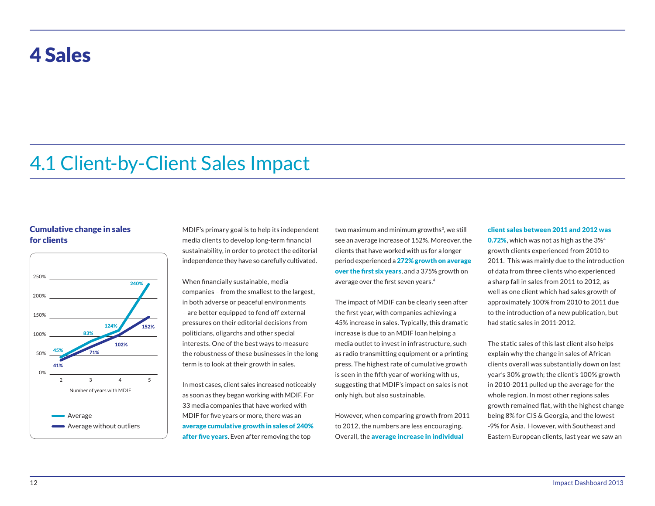#### 4 Sales

### 4.1 Client-by-Client Sales Impact

#### Cumulative change in sales for clients



MDIF's primary goal is to help its independent media clients to develop long-term financial sustainability, in order to protect the editorial independence they have so carefully cultivated.

When financially sustainable, media companies – from the smallest to the largest, in both adverse or peaceful environments – are better equipped to fend off external pressures on their editorial decisions from politicians, oligarchs and other special interests. One of the best ways to measure the robustness of these businesses in the long term is to look at their growth in sales.

In most cases, client sales increased noticeably as soon as they began working with MDIF. For 33 media companies that have worked with MDIF for five years or more, there was an average cumulative growth in sales of 240% after five years. Even after removing the top

two maximum and minimum growths<sup>3</sup>, we still see an average increase of 152%. Moreover, the clients that have worked with us for a longer period experienced a 272% growth on average over the first six years, and a 375% growth on average over the first seven years.<sup>4</sup>

The impact of MDIF can be clearly seen after the first year, with companies achieving a 45% increase in sales. Typically, this dramatic increase is due to an MDIF loan helping a media outlet to invest in infrastructure, such as radio transmitting equipment or a printing press. The highest rate of cumulative growth is seen in the fifth year of working with us, suggesting that MDIF's impact on sales is not only high, but also sustainable.

However, when comparing growth from 2011 to 2012, the numbers are less encouraging. Overall, the average increase in individual

#### client sales between 2011 and 2012 was

0.72%, which was not as high as the 3%<sup>4</sup> growth clients experienced from 2010 to 2011. This was mainly due to the introduction of data from three clients who experienced a sharp fall in sales from 2011 to 2012, as well as one client which had sales growth of approximately 100% from 2010 to 2011 due to the introduction of a new publication, but had static sales in 2011-2012.

The static sales of this last client also helps explain why the change in sales of African clients overall was substantially down on last year's 30% growth; the client's 100% growth in 2010-2011 pulled up the average for the whole region. In most other regions sales growth remained flat, with the highest change being 8% for CIS & Georgia, and the lowest -9% for Asia. However, with Southeast and Eastern European clients, last year we saw an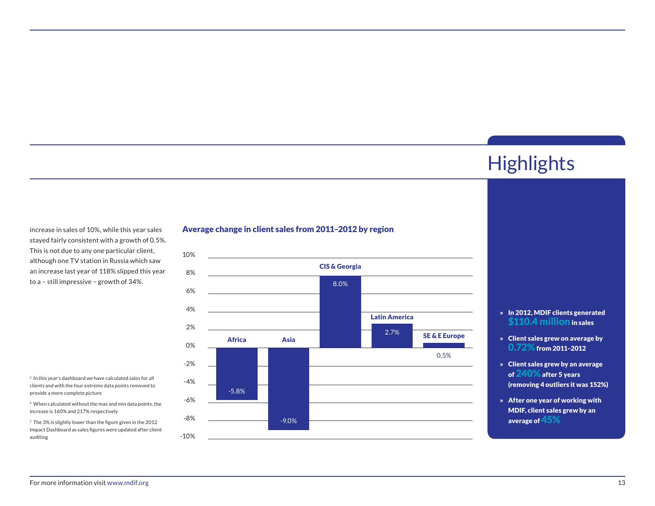### **Highlights**

increase in sales of 10%, while this year sales stayed fairly consistent with a growth of 0.5%. This is not due to any one particular client, although one TV station in Russia which saw an increase last year of 118% slipped this year to a – still impressive – growth of 34%.

 $3$  In this year's dashboard we have calculated sales for all clients and with the four extreme data points removed to provide a more complete picture

4 When calculated without the max and min data points, the increase is 160% and 217% respectively

5 The 3% is slightly lower than the figure given in the 2012 Impact Dashboard as sales figures were updated after client auditing

#### Average change in client sales from 2011–2012 by region



#### » In 2012, MDIF clients generated \$110.4 million in sales

- » Client sales grew on average by 0.72%from 2011–2012
- » Client sales grew by an average of 240%after 5 years (removing 4 outliers it was 152%)
- » After one year of working with MDIF, client sales grew by an average of 45%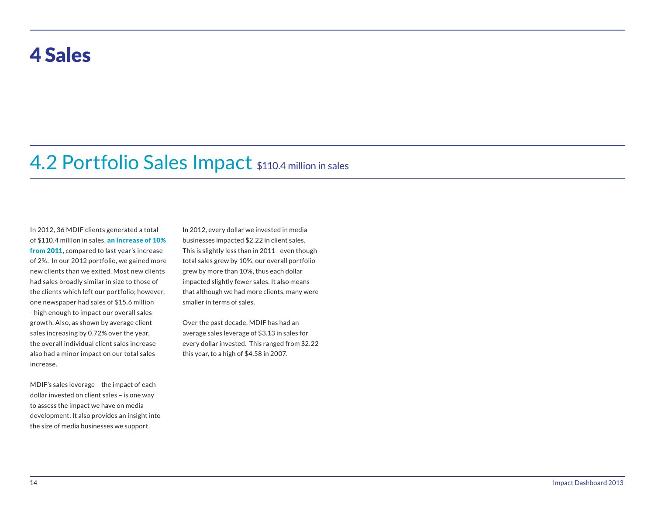#### 4 Sales

#### 4.2 Portfolio Sales Impact \$110.4 million in sales

In 2012, 36 MDIF clients generated a total of \$110.4 million in sales, an increase of 10% from 2011, compared to last year's increase of 2%. In our 2012 portfolio, we gained more new clients than we exited. Most new clients had sales broadly similar in size to those of the clients which left our portfolio; however, one newspaper had sales of \$15.6 million - high enough to impact our overall sales growth. Also, as shown by average client sales increasing by 0.72% over the year, the overall individual client sales increase also had a minor impact on our total sales increase.

MDIF's sales leverage – the impact of each dollar invested on client sales – is one way to assess the impact we have on media development. It also provides an insight into the size of media businesses we support.

In 2012, every dollar we invested in media businesses impacted \$2.22 in client sales. This is slightly less than in 2011 - even though total sales grew by 10%, our overall portfolio grew by more than 10%, thus each dollar impacted slightly fewer sales. It also means that although we had more clients, many were smaller in terms of sales.

Over the past decade, MDIF has had an average sales leverage of \$3.13 in sales for every dollar invested. This ranged from \$2.22 this year, to a high of \$4.58 in 2007.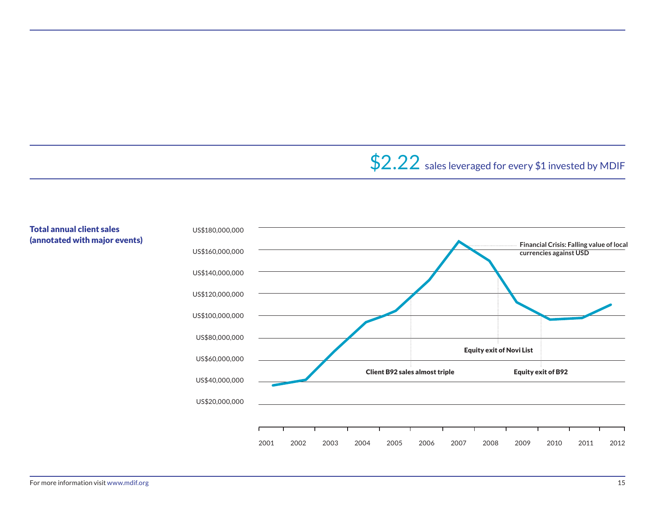### \$2.22 sales leveraged for every \$1 invested by MDIF

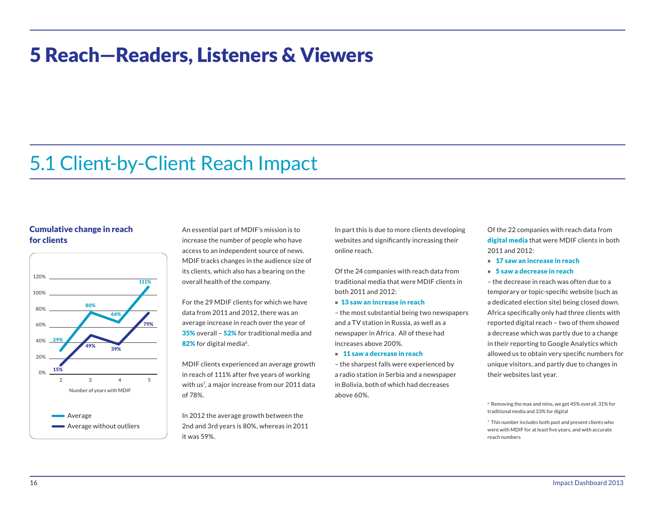### 5 Reach—Readers, Listeners & Viewers

#### 5.1 Client-by-Client Reach Impact

#### Cumulative change in reach for clients



An essential part of MDIF's mission is to increase the number of people who have access to an independent source of news. MDIF tracks changes in the audience size of its clients, which also has a bearing on the overall health of the company.

For the 29 MDIF clients for which we have data from 2011 and 2012, there was an average increase in reach over the year of 35% overall – 52% for traditional media and 82% for digital media<sup>6</sup>.

MDIF clients experienced an average growth in reach of 111% after five years of working with us<sup>7</sup> , a major increase from our 2011 data of 78%.

In 2012 the average growth between the 2nd and 3rd years is 80%, whereas in 2011 it was 59%.

In part this is due to more clients developing websites and significantly increasing their online reach.

Of the 24 companies with reach data from traditional media that were MDIF clients in both 2011 and 2012:

- » 13 saw an increase in reach
- the most substantial being two newspapers and a TV station in Russia, as well as a newspaper in Africa. All of these had increases above 200%.
- » 11 saw a decrease in reach

– the sharpest falls were experienced by a radio station in Serbia and a newspaper in Bolivia, both of which had decreases above 60%.

Of the 22 companies with reach data from digital media that were MDIF clients in both 2011 and 2012:

- » 17 saw an increase in reach
- » 5 saw a decrease in reach

– the decrease in reach was often due to a temporary or topic-specific website (such as a dedicated election site) being closed down. Africa specifically only had three clients with reported digital reach – two of them showed a decrease which was partly due to a change in their reporting to Google Analytics which allowed us to obtain very specific numbers for unique visitors, and partly due to changes in their websites last year.

<sup>6</sup> Removing the max and mins, we get 45% overall, 31% for traditional media and 33% for digital

<sup>7</sup> This number includes both past and present clients who were with MDIF for at least five years, and with accurate reach numbers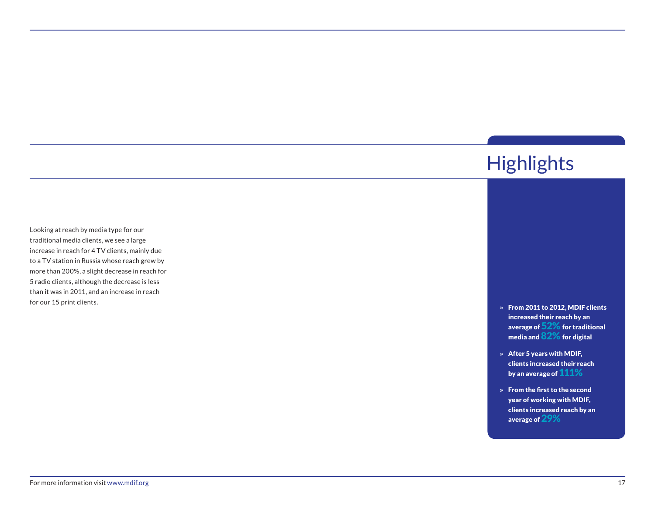#### » From 2011 to 2012, MDIF clients increased their reach by an average of  $52\%$  for traditional media and 82% for digital » After 5 years with MDIF, clients increased their reach by an average of  $111\%$ » From the first to the second year of working with MDIF, clients increased reach by an average of 29% **Highlights** Looking at reach by media type for our traditional media clients, we see a large increase in reach for 4 TV clients, mainly due to a TV station in Russia whose reach grew by more than 200%, a slight decrease in reach for 5 radio clients, although the decrease is less than it was in 2011, and an increase in reach for our 15 print clients.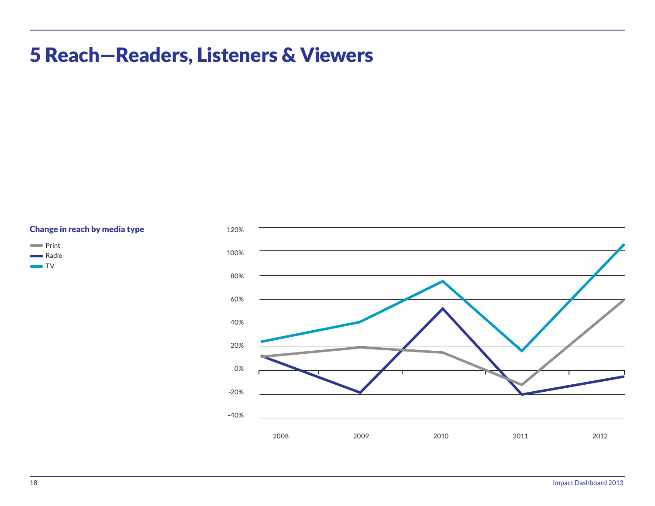### 5 Reach—Readers, Listeners & Viewers



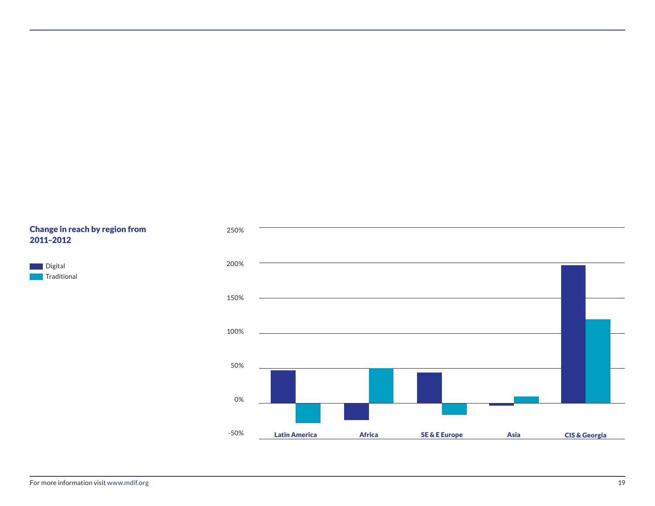#### Change in reach by region from 2011–2012

**Digital Traditional** 

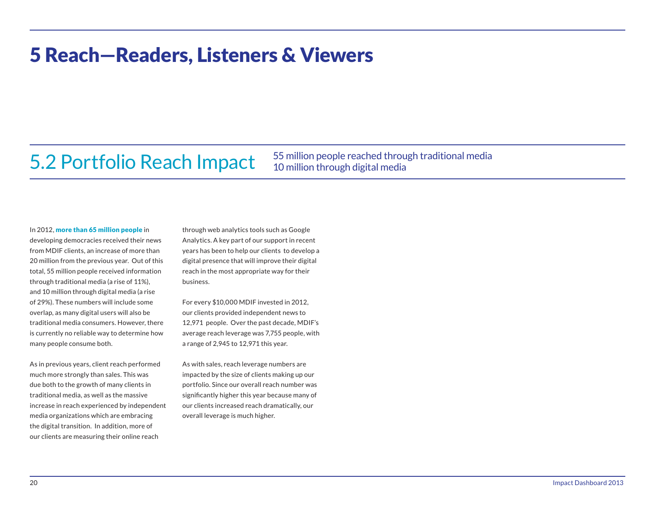### 5 Reach—Readers, Listeners & Viewers

#### 5.2 Portfolio Reach Impact

55 million people reached through traditional media 10 million through digital media

In 2012, more than 65 million people in

developing democracies received their news from MDIF clients, an increase of more than 20 million from the previous year. Out of this total, 55 million people received information through traditional media (a rise of 11%), and 10 million through digital media (a rise of 29%). These numbers will include some overlap, as many digital users will also be traditional media consumers. However, there is currently no reliable way to determine how many people consume both.

As in previous years, client reach performed much more strongly than sales. This was due both to the growth of many clients in traditional media, as well as the massive increase in reach experienced by independent media organizations which are embracing the digital transition. In addition, more of our clients are measuring their online reach

through web analytics tools such as Google Analytics. A key part of our support in recent years has been to help our clients to develop a digital presence that will improve their digital reach in the most appropriate way for their business.

For every \$10,000 MDIF invested in 2012, our clients provided independent news to 12,971 people. Over the past decade, MDIF's average reach leverage was 7,755 people, with a range of 2,945 to 12,971 this year.

As with sales, reach leverage numbers are impacted by the size of clients making up our portfolio. Since our overall reach number was significantly higher this year because many of our clients increased reach dramatically, our overall leverage is much higher.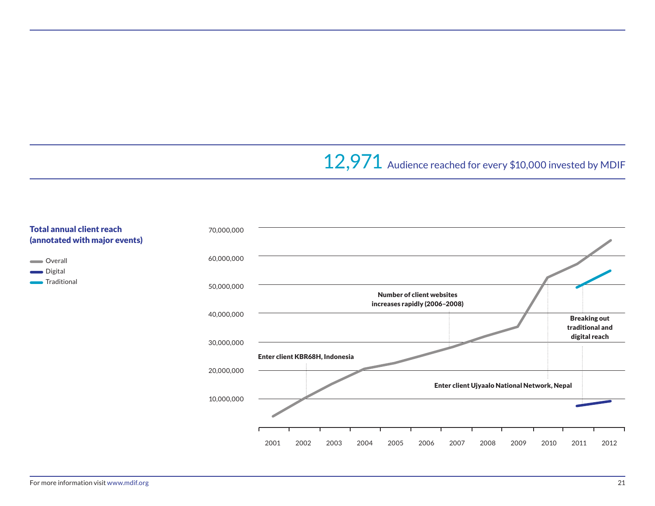### 12,971 Audience reached for every \$10,000 invested by MDIF

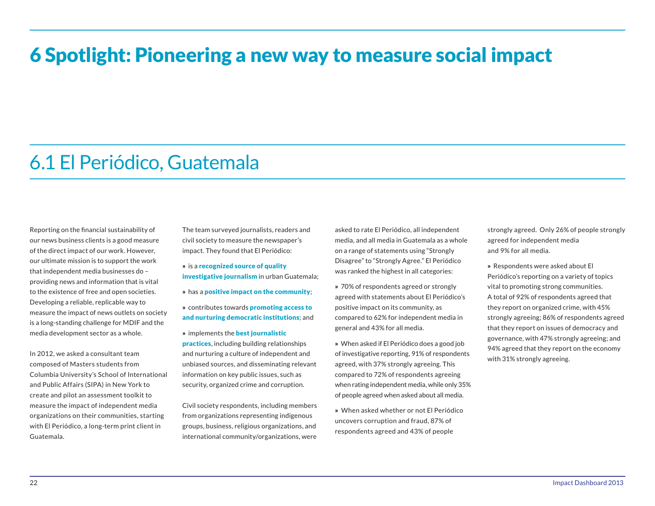### 6 Spotlight: Pioneering a new way to measure social impact

#### 6.1 El Periódico, Guatemala

Reporting on the financial sustainability of our news business clients is a good measure of the direct impact of our work. However, our ultimate mission is to support the work that independent media businesses do – providing news and information that is vital to the existence of free and open societies. Developing a reliable, replicable way to measure the impact of news outlets on society is a long-standing challenge for MDIF and the media development sector as a whole.

In 2012, we asked a consultant team composed of Masters students from Columbia University's School of International and Public Affairs (SIPA) in New York to create and pilot an assessment toolkit to measure the impact of independent media organizations on their communities, starting with El Periódico, a long-term print client in Guatemala.

The team surveyed journalists, readers and civil society to measure the newspaper's impact. They found that El Periódico:

- » is a recognized source of quality **investigative journalism** in urban Guatemala;
- » has a positive impact on the community;
- » contributes towards promoting access to and nurturing democratic institutions; and
- » implements the best journalistic practices, including building relationships and nurturing a culture of independent and unbiased sources, and disseminating relevant information on key public issues, such as security, organized crime and corruption.

Civil society respondents, including members from organizations representing indigenous groups, business, religious organizations, and international community/organizations, were

asked to rate El Periódico, all independent media, and all media in Guatemala as a whole on a range of statements using "Strongly Disagree" to "Strongly Agree." El Periódico was ranked the highest in all categories:

- » 70% of respondents agreed or strongly agreed with statements about El Periódico's positive impact on its community, as compared to 62% for independent media in general and 43% for all media.
- » When asked if El Periódico does a good job of investigative reporting, 91% of respondents agreed, with 37% strongly agreeing. This compared to 72% of respondents agreeing when rating independent media, while only 35% of people agreed when asked about all media.
- » When asked whether or not El Periódico uncovers corruption and fraud, 87% of respondents agreed and 43% of people

strongly agreed. Only 26% of people strongly agreed for independent media and 9% for all media.

» Respondents were asked about El Periódico's reporting on a variety of topics vital to promoting strong communities. A total of 92% of respondents agreed that they report on organized crime, with 45% strongly agreeing; 86% of respondents agreed that they report on issues of democracy and governance, with 47% strongly agreeing; and 94% agreed that they report on the economy with 31% strongly agreeing.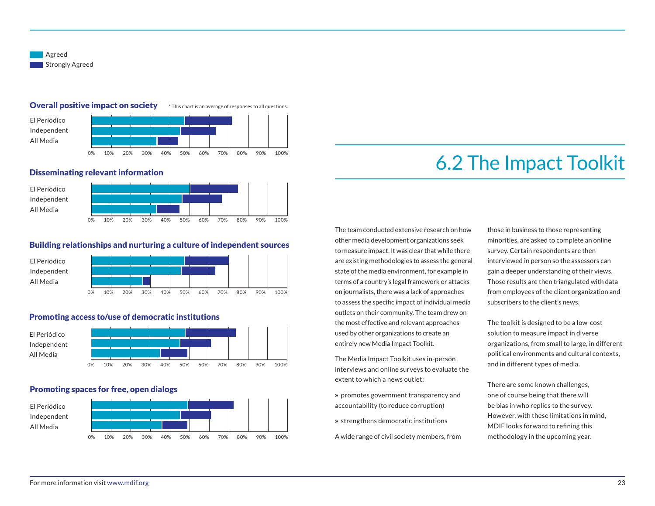

#### Overall positive impact on society \* This chart is an average of responses to all questions.



#### Disseminating relevant information



#### Building relationships and nurturing a culture of independent sources



#### Promoting access to/use of democratic institutions



#### Promoting spaces for free, open dialogs



#### 6.2 The Impact Toolkit

The team conducted extensive research on how other media development organizations seek to measure impact. It was clear that while there are existing methodologies to assess the general state of the media environment, for example in terms of a country's legal framework or attacks on journalists, there was a lack of approaches to assess the specific impact of individual media outlets on their community. The team drew on the most effective and relevant approaches used by other organizations to create an entirely new Media Impact Toolkit.

The Media Impact Toolkit uses in-person interviews and online surveys to evaluate the extent to which a news outlet:

- » promotes government transparency and accountability (to reduce corruption)
- » strengthens democratic institutions
- A wide range of civil society members, from

those in business to those representing minorities, are asked to complete an online survey. Certain respondents are then interviewed in person so the assessors can gain a deeper understanding of their views. Those results are then triangulated with data from employees of the client organization and subscribers to the client's news.

The toolkit is designed to be a low-cost solution to measure impact in diverse organizations, from small to large, in different political environments and cultural contexts, and in different types of media.

There are some known challenges, one of course being that there will be bias in who replies to the survey. However, with these limitations in mind, MDIF looks forward to refining this methodology in the upcoming year.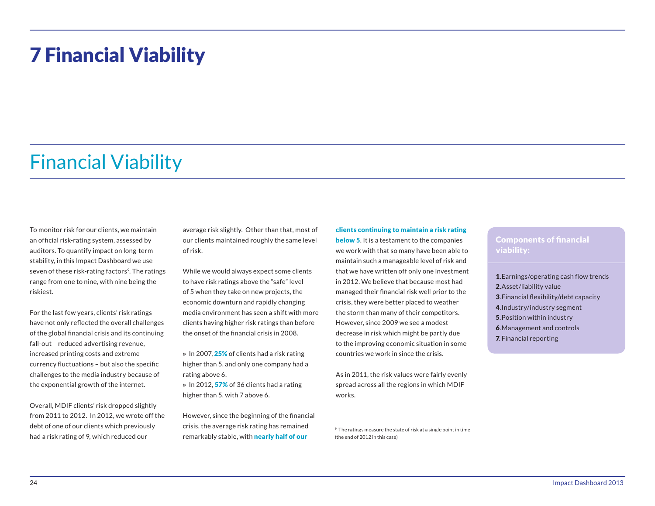### 7 Financial Viability

#### Financial Viability

To monitor risk for our clients, we maintain an official risk-rating system, assessed by auditors. To quantify impact on long-term stability, in this Impact Dashboard we use seven of these risk-rating factors<sup>9</sup>. The ratings range from one to nine, with nine being the riskiest.

For the last few years, clients' risk ratings have not only reflected the overall challenges of the global financial crisis and its continuing fall-out – reduced advertising revenue, increased printing costs and extreme currency fluctuations – but also the specific challenges to the media industry because of the exponential growth of the internet.

Overall, MDIF clients' risk dropped slightly from 2011 to 2012. In 2012, we wrote off the debt of one of our clients which previously had a risk rating of 9, which reduced our

average risk slightly. Other than that, most of our clients maintained roughly the same level of risk.

While we would always expect some clients to have risk ratings above the "safe" level of 5 when they take on new projects, the economic downturn and rapidly changing media environment has seen a shift with more clients having higher risk ratings than before the onset of the financial crisis in 2008.

» In 2007, 25% of clients had a risk rating higher than 5, and only one company had a rating above 6.

» In 2012, 57% of 36 clients had a rating higher than 5, with 7 above 6.

However, since the beginning of the financial crisis, the average risk rating has remained remarkably stable, with **nearly half of our** 

clients continuing to maintain a risk rating

**below 5.** It is a testament to the companies we work with that so many have been able to maintain such a manageable level of risk and that we have written off only one investment in 2012. We believe that because most had managed their financial risk well prior to the crisis, they were better placed to weather the storm than many of their competitors. However, since 2009 we see a modest decrease in risk which might be partly due to the improving economic situation in some countries we work in since the crisis.

As in 2011, the risk values were fairly evenly spread across all the regions in which MDIF works.

9 The ratings measure the state of risk at a single point in time (the end of 2012 in this case)

#### Components of financial viability:

.Earnings/operating cash flow trends .Asset/liability value .Financial flexibility/debt capacity .Industry/industry segment .Position within industry .Management and controls . Financial reporting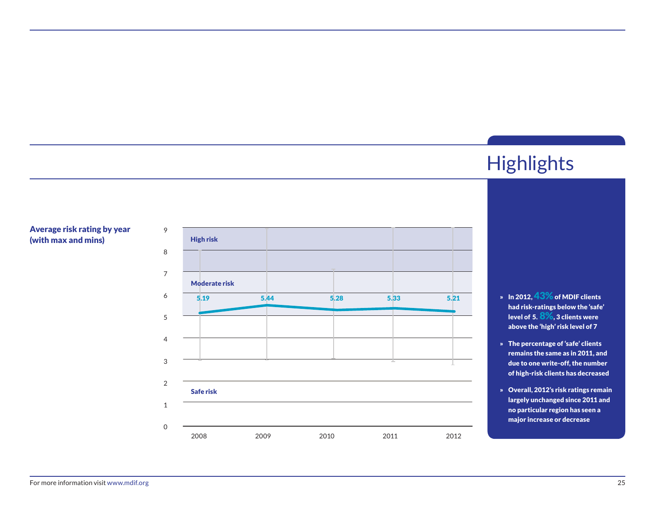#### Average risk rating by year (with max and mins) High risk



# **Highlights**

- » In 2012, 43% of MDIF clients had risk-ratings below the 'safe' level of 5.  $8\%$ , 3 clients were above the 'high' risk level of 7
- » The percentage of 'safe' clients remains the same as in 2011, and due to one write-off, the number of high-risk clients has decreased
- » Overall, 2012's risk ratings remain largely unchanged since 2011 and no particular region has seen a major increase or decrease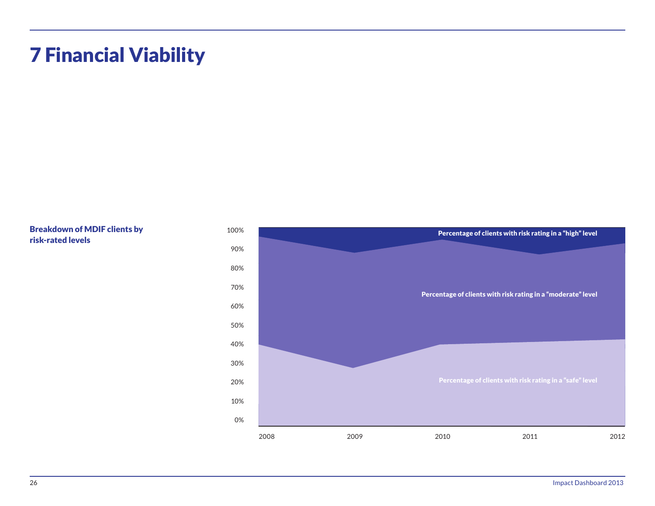## 7 Financial Viability

Breakdown of MDIF clients by risk-rated levels

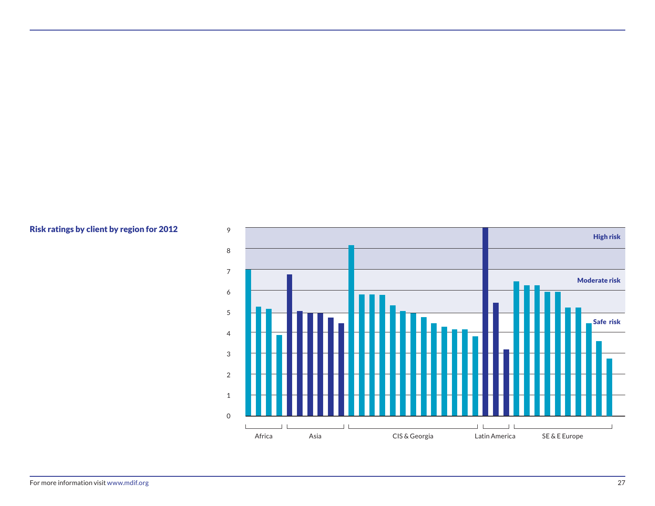#### Risk ratings by client by region for 2012

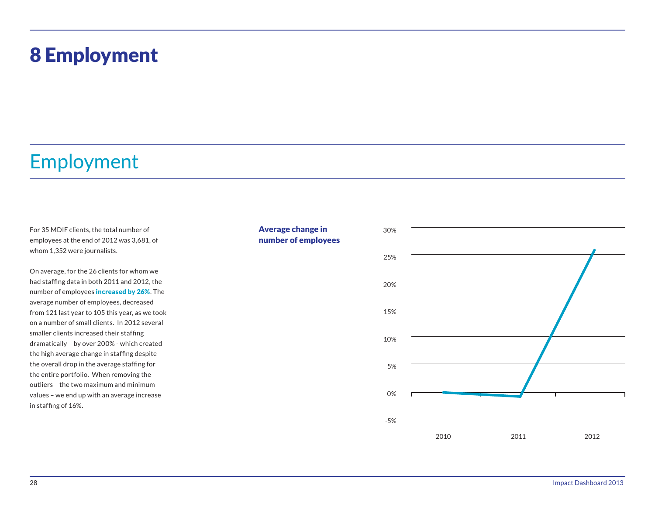### 8 Employment

### Employment

For 35 MDIF clients, the total number of employees at the end of 2012 was 3,681, of whom 1,352 were journalists.

On average, for the 26 clients for whom we had staffing data in both 2011 and 2012, the number of employees **increased by 26%**. The average number of employees, decreased from 121 last year to 105 this year, as we took on a number of small clients. In 2012 several smaller clients increased their staffing dramatically – by over 200% - which created the high average change in staffing despite the overall drop in the average staffing for the entire portfolio. When removing the outliers – the two maximum and minimum values – we end up with an average increase in staffing of 16%.

#### Average change in number of employees

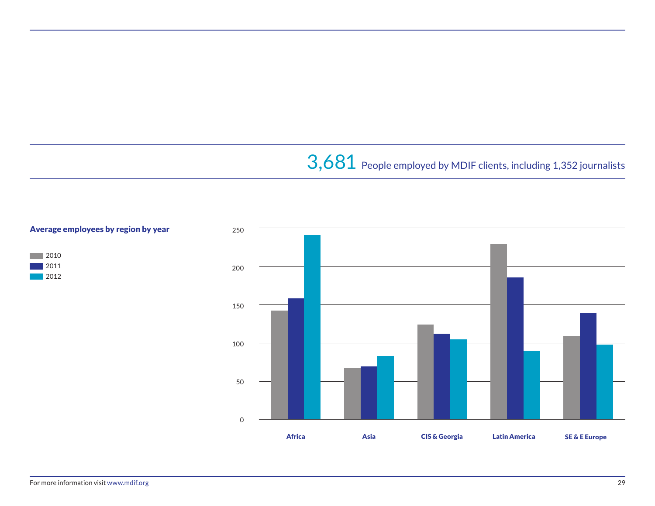## 3,681 People employed by MDIF clients, including 1,352 journalists



2010 2011 | 2012